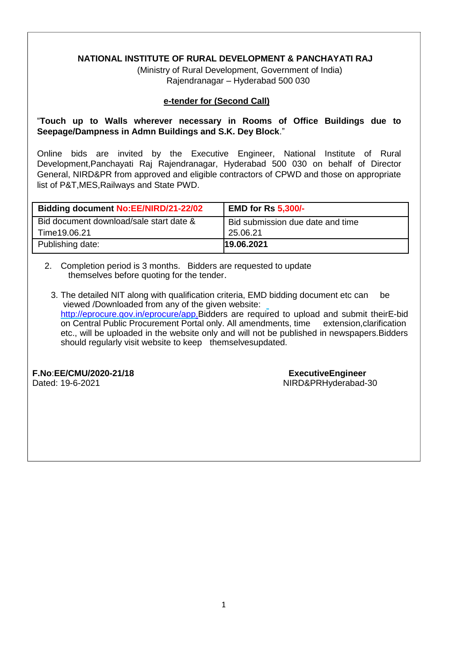# **NATIONAL INSTITUTE OF RURAL DEVELOPMENT & PANCHAYATI RAJ**

(Ministry of Rural Development, Government of India) Rajendranagar – Hyderabad 500 030

#### **e-tender for (Second Call)**

# "**Touch up to Walls wherever necessary in Rooms of Office Buildings due to Seepage/Dampness in Admn Buildings and S.K. Dey Block**."

Online bids are invited by the Executive Engineer, National Institute of Rural Development,Panchayati Raj Rajendranagar, Hyderabad 500 030 on behalf of Director General, NIRD&PR from approved and eligible contractors of CPWD and those on appropriate list of P&T,MES,Railways and State PWD.

| <b>Bidding document No:EE/NIRD/21-22/02</b>              | <b>EMD for Rs 5,300/-</b>                    |
|----------------------------------------------------------|----------------------------------------------|
| Bid document download/sale start date &<br>Time 19.06.21 | Bid submission due date and time<br>25.06.21 |
| Publishing date:                                         | 19.06.2021                                   |

2. Completion period is 3 months. Bidders are requested to update themselves before quoting for the tender.

3. The detailed NIT along with qualification criteria, EMD bidding document etc can be viewed /Downloaded from any of the given website: [http://eprocure.gov.in/eprocure/app.B](http://eprocure.gov.in/eprocure/app.)idders are required to upload and submit theirE-bid on Central Public Procurement Portal only. All amendments, time extension,clarification etc., will be uploaded in the website only and will not be published in newspapers.Bidders should regularly visit website to keep themselvesupdated.

**F.No**:**EE/CMU/2020-21/18 ExecutiveEngineer**

NIRD&PRHyderabad-30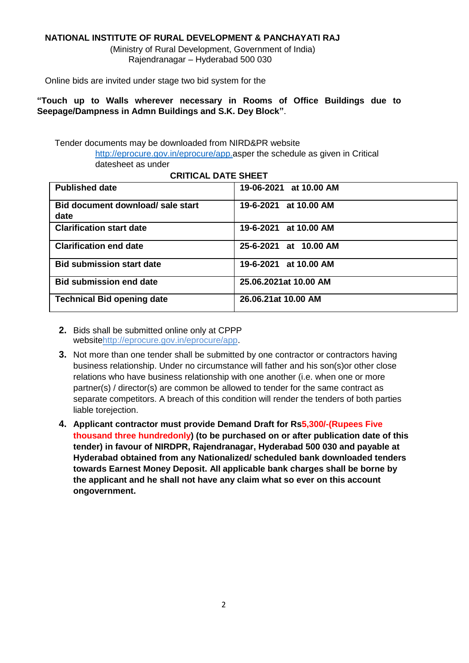# **NATIONAL INSTITUTE OF RURAL DEVELOPMENT & PANCHAYATI RAJ**

(Ministry of Rural Development, Government of India) Rajendranagar – Hyderabad 500 030

Online bids are invited under stage two bid system for the

**"Touch up to Walls wherever necessary in Rooms of Office Buildings due to Seepage/Dampness in Admn Buildings and S.K. Dey Block"**.

Tender documents may be downloaded from NIRD&PR website [http://eprocure.gov.in/eprocure/app.a](http://eprocure.gov.in/eprocure/app)sper the schedule as given in Critical datesheet as under

#### **CRITICAL DATE SHEET**

| <b>Published date</b>                     | 19-06-2021 at 10.00 AM |
|-------------------------------------------|------------------------|
| Bid document download/ sale start<br>date | 19-6-2021 at 10.00 AM  |
| <b>Clarification start date</b>           | 19-6-2021 at 10.00 AM  |
| <b>Clarification end date</b>             | 25-6-2021 at 10.00 AM  |
| <b>Bid submission start date</b>          | 19-6-2021 at 10.00 AM  |
| <b>Bid submission end date</b>            | 25.06.2021at 10.00 AM  |
| <b>Technical Bid opening date</b>         | 26.06.21at 10.00 AM    |

- **2.** Bids shall be submitted online only at CPPP websit[ehttp://eprocure.gov.in/eprocure/app.](http://eprocure.gov.in/eprocure/app)
- **3.** Not more than one tender shall be submitted by one contractor or contractors having business relationship. Under no circumstance will father and his son(s)or other close relations who have business relationship with one another (i.e. when one or more partner(s) / director(s) are common be allowed to tender for the same contract as separate competitors. A breach of this condition will render the tenders of both parties liable torejection.
- **4. Applicant contractor must provide Demand Draft for Rs5,300/-(Rupees Five thousand three hundredonly) (to be purchased on or after publication date of this tender) in favour of NIRDPR, Rajendranagar, Hyderabad 500 030 and payable at Hyderabad obtained from any Nationalized/ scheduled bank downloaded tenders towards Earnest Money Deposit. All applicable bank charges shall be borne by the applicant and he shall not have any claim what so ever on this account ongovernment.**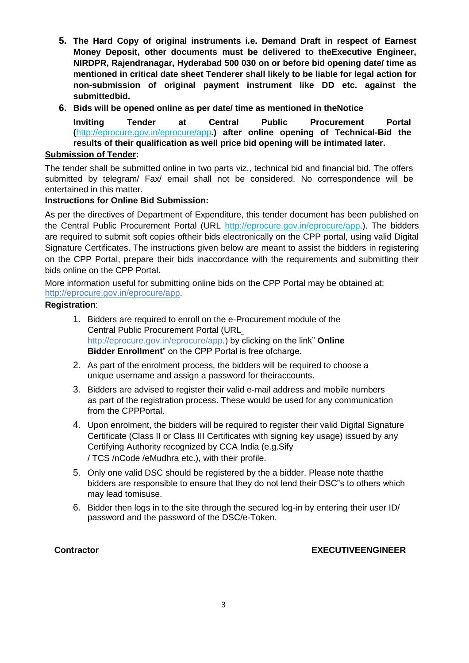- **5. The Hard Copy of original instruments i.e. Demand Draft in respect of Earnest Money Deposit, other documents must be delivered to theExecutive Engineer, NIRDPR, Rajendranagar, Hyderabad 500 030 on or before bid opening date/ time as mentioned in critical date sheet Tenderer shall likely to be liable for legal action for non-submission of original payment instrument like DD etc. against the submittedbid.**
- **6. Bids will be opened online as per date/ time as mentioned in theNotice**

**Inviting Tender at Central Public Procurement Portal (**<http://eprocure.gov.in/eprocure/app>**.) after online opening of Technical-Bid the results of their qualification as well price bid opening will be intimated later.**

### **Submission of Tender:**

The tender shall be submitted online in two parts viz., technical bid and financial bid. The offers submitted by telegram/ Fax/ email shall not be considered. No correspondence will be entertained in this matter.

# **Instructions for Online Bid Submission:**

As per the directives of Department of Expenditure, this tender document has been published on the Central Public Procurement Portal (URL<http://eprocure.gov.in/eprocure/app>.). The bidders are required to submit soft copies oftheir bids electronically on the CPP portal, using valid Digital Signature Certificates. The instructions given below are meant to assist the bidders in registering on the CPP Portal, prepare their bids inaccordance with the requirements and submitting their bids online on the CPP Portal.

More information useful for submitting online bids on the CPP Portal may be obtained at: [http://eprocure.gov.in/eprocure/app.](http://eprocure.gov.in/eprocure/app)

### **Registration**:

- 1. Bidders are required to enroll on the e-Procurement module of the Central Public Procurement Portal (UR[L](http://eprocure.gov.in/eprocure/app) <http://eprocure.gov.in/eprocure/app>.) by clicking on the link" **Online Bidder Enrollment**" on the CPP Portal is free ofcharge.
- 2. As part of the enrolment process, the bidders will be required to choose a unique username and assign a password for theiraccounts.
- 3. Bidders are advised to register their valid e-mail address and mobile numbers as part of the registration process. These would be used for any communication from the CPPPortal.
- 4. Upon enrolment, the bidders will be required to register their valid Digital Signature Certificate (Class II or Class III Certificates with signing key usage) issued by any Certifying Authority recognized by CCA India (e.g.Sify / TCS /nCode /eMudhra etc.), with their profile.
- 5. Only one valid DSC should be registered by the a bidder. Please note thatthe bidders are responsible to ensure that they do not lend their DSC"s to others which may lead tomisuse.
- 6. Bidder then logs in to the site through the secured log-in by entering their user ID/ password and the password of the DSC/e-Token.

### **Contractor EXECUTIVEENGINEER**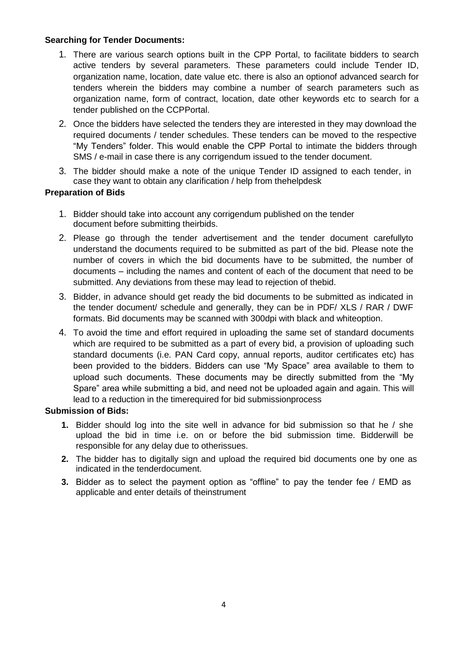# **Searching for Tender Documents:**

- 1. There are various search options built in the CPP Portal, to facilitate bidders to search active tenders by several parameters. These parameters could include Tender ID, organization name, location, date value etc. there is also an optionof advanced search for tenders wherein the bidders may combine a number of search parameters such as organization name, form of contract, location, date other keywords etc to search for a tender published on the CCPPortal.
- 2. Once the bidders have selected the tenders they are interested in they may download the required documents / tender schedules. These tenders can be moved to the respective "My Tenders" folder. This would enable the CPP Portal to intimate the bidders through SMS / e-mail in case there is any corrigendum issued to the tender document.
- 3. The bidder should make a note of the unique Tender ID assigned to each tender, in case they want to obtain any clarification / help from thehelpdesk

# **Preparation of Bids**

- 1. Bidder should take into account any corrigendum published on the tender document before submitting theirbids.
- 2. Please go through the tender advertisement and the tender document carefullyto understand the documents required to be submitted as part of the bid. Please note the number of covers in which the bid documents have to be submitted, the number of documents – including the names and content of each of the document that need to be submitted. Any deviations from these may lead to rejection of thebid.
- 3. Bidder, in advance should get ready the bid documents to be submitted as indicated in the tender document/ schedule and generally, they can be in PDF/ XLS / RAR / DWF formats. Bid documents may be scanned with 300dpi with black and whiteoption.
- 4. To avoid the time and effort required in uploading the same set of standard documents which are required to be submitted as a part of every bid, a provision of uploading such standard documents (i.e. PAN Card copy, annual reports, auditor certificates etc) has been provided to the bidders. Bidders can use "My Space" area available to them to upload such documents. These documents may be directly submitted from the "My Spare" area while submitting a bid, and need not be uploaded again and again. This will lead to a reduction in the timerequired for bid submissionprocess

## **Submission of Bids:**

- **1.** Bidder should log into the site well in advance for bid submission so that he / she upload the bid in time i.e. on or before the bid submission time. Bidderwill be responsible for any delay due to otherissues.
- **2.** The bidder has to digitally sign and upload the required bid documents one by one as indicated in the tenderdocument.
- **3.** Bidder as to select the payment option as "offline" to pay the tender fee / EMD as applicable and enter details of theinstrument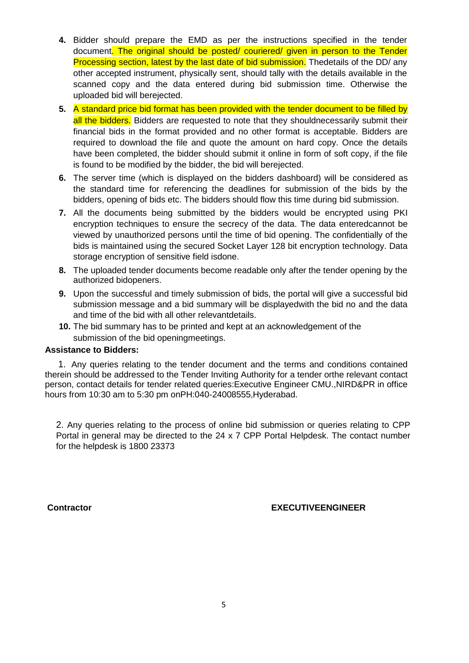- **4.** Bidder should prepare the EMD as per the instructions specified in the tender document. The original should be posted/ couriered/ given in person to the Tender Processing section, latest by the last date of bid submission. Thedetails of the DD/ any other accepted instrument, physically sent, should tally with the details available in the scanned copy and the data entered during bid submission time. Otherwise the uploaded bid will berejected.
- **5.** A standard price bid format has been provided with the tender document to be filled by all the bidders. Bidders are requested to note that they shouldnecessarily submit their financial bids in the format provided and no other format is acceptable. Bidders are required to download the file and quote the amount on hard copy. Once the details have been completed, the bidder should submit it online in form of soft copy, if the file is found to be modified by the bidder, the bid will berejected.
- **6.** The server time (which is displayed on the bidders dashboard) will be considered as the standard time for referencing the deadlines for submission of the bids by the bidders, opening of bids etc. The bidders should flow this time during bid submission.
- **7.** All the documents being submitted by the bidders would be encrypted using PKI encryption techniques to ensure the secrecy of the data. The data enteredcannot be viewed by unauthorized persons until the time of bid opening. The confidentially of the bids is maintained using the secured Socket Layer 128 bit encryption technology. Data storage encryption of sensitive field isdone.
- **8.** The uploaded tender documents become readable only after the tender opening by the authorized bidopeners.
- **9.** Upon the successful and timely submission of bids, the portal will give a successful bid submission message and a bid summary will be displayedwith the bid no and the data and time of the bid with all other relevantdetails.
- **10.** The bid summary has to be printed and kept at an acknowledgement of the submission of the bid openingmeetings.

#### **Assistance to Bidders:**

1. Any queries relating to the tender document and the terms and conditions contained therein should be addressed to the Tender Inviting Authority for a tender orthe relevant contact person, contact details for tender related queries:Executive Engineer CMU.,NIRD&PR in office hours from 10:30 am to 5:30 pm onPH:040-24008555,Hyderabad.

2. Any queries relating to the process of online bid submission or queries relating to CPP Portal in general may be directed to the 24 x 7 CPP Portal Helpdesk. The contact number for the helpdesk is 1800 23373

### **Contractor EXECUTIVEENGINEER**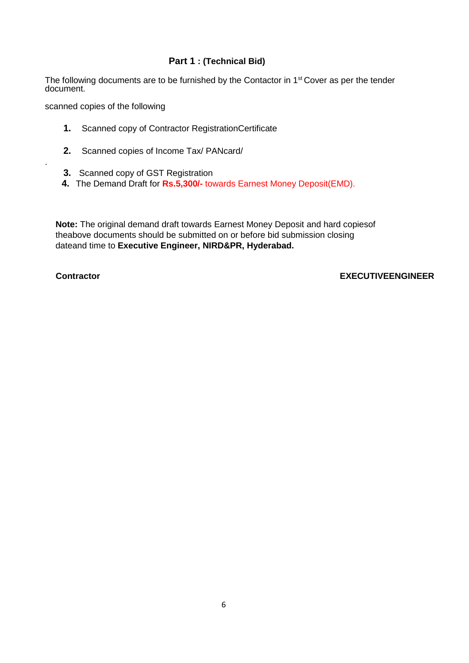# **Part 1 : (Technical Bid)**

The following documents are to be furnished by the Contactor in 1<sup>st</sup> Cover as per the tender document.

scanned copies of the following

- **1.** Scanned copy of Contractor RegistrationCertificate
- **2.** Scanned copies of Income Tax/ PANcard/
- **3.** Scanned copy of GST Registration
- **4.** The Demand Draft for **Rs.5,300/-** towards Earnest Money Deposit(EMD).

**Note:** The original demand draft towards Earnest Money Deposit and hard copiesof theabove documents should be submitted on or before bid submission closing dateand time to **Executive Engineer, NIRD&PR, Hyderabad.**

.

#### **Contractor EXECUTIVEENGINEER**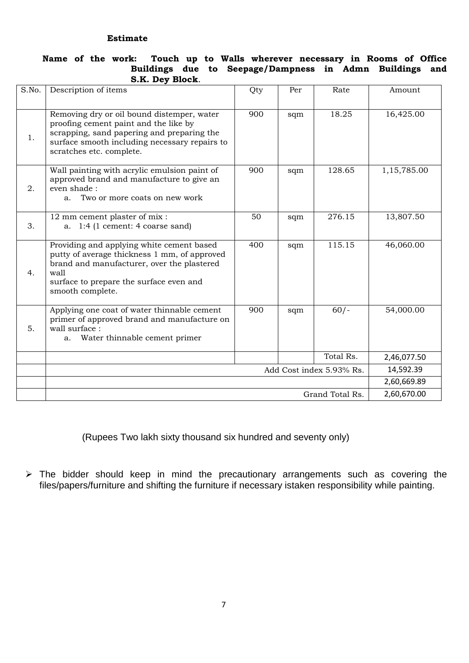#### **Estimate**

#### **Name of the work: Touch up to Walls wherever necessary in Rooms of Office Buildings due to Seepage/Dampness in Admn Buildings and S.K. Dey Block**.

| S.No. | Description of items                                                                                                                                                                                           | Qty                      | Per       | Rate      | Amount      |
|-------|----------------------------------------------------------------------------------------------------------------------------------------------------------------------------------------------------------------|--------------------------|-----------|-----------|-------------|
| 1.    | Removing dry or oil bound distemper, water<br>proofing cement paint and the like by<br>scrapping, sand papering and preparing the<br>surface smooth including necessary repairs to<br>scratches etc. complete. | 900                      | sqm       | 18.25     | 16,425.00   |
| 2.    | Wall painting with acrylic emulsion paint of<br>approved brand and manufacture to give an<br>even shade:<br>Two or more coats on new work<br>a.                                                                | 900                      | sqm       | 128.65    | 1,15,785.00 |
| 3.    | 12 mm cement plaster of mix :<br>a. $1:4$ (1 cement: 4 coarse sand)                                                                                                                                            | 50                       | sqm       | 276.15    | 13,807.50   |
| 4.    | Providing and applying white cement based<br>putty of average thickness 1 mm, of approved<br>brand and manufacturer, over the plastered<br>wall<br>surface to prepare the surface even and<br>smooth complete. | 400                      | sqm       | 115.15    | 46,060.00   |
| 5.    | Applying one coat of water thinnable cement<br>primer of approved brand and manufacture on<br>wall surface :<br>Water thinnable cement primer<br>a.                                                            | 900                      | sqm       | $60/-$    | 54,000.00   |
|       |                                                                                                                                                                                                                |                          |           | Total Rs. | 2,46,077.50 |
|       |                                                                                                                                                                                                                | Add Cost index 5.93% Rs. | 14,592.39 |           |             |
|       |                                                                                                                                                                                                                |                          |           |           |             |
|       | 2,60,670.00<br>Grand Total Rs.                                                                                                                                                                                 |                          |           |           |             |

(Rupees Two lakh sixty thousand six hundred and seventy only)

 $\triangleright$  The bidder should keep in mind the precautionary arrangements such as covering the files/papers/furniture and shifting the furniture if necessary istaken responsibility while painting.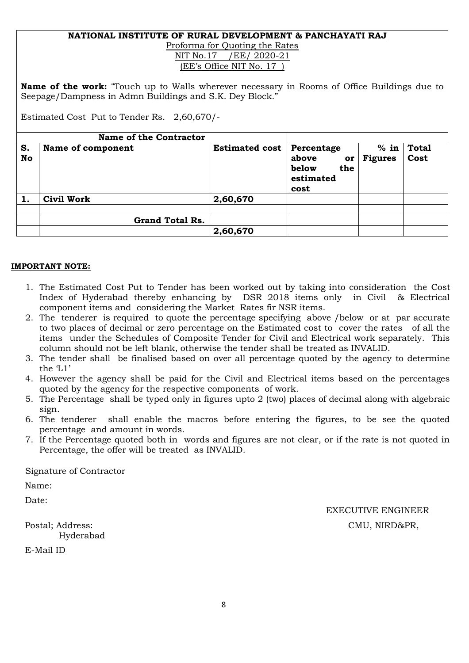#### **NATIONAL INSTITUTE OF RURAL DEVELOPMENT & PANCHAYATI RAJ** Proforma for Quoting the Rates

NIT No.17 / EE/ 2020-21 (EE's Office NIT No. 17 )

**Name of the work:** "Touch up to Walls wherever necessary in Rooms of Office Buildings due to Seepage/Dampness in Admn Buildings and S.K. Dey Block."

Estimated Cost Put to Tender Rs. 2,60,670/-

|          | <b>Name of the Contractor</b> |                       |                                                                |                          |                      |
|----------|-------------------------------|-----------------------|----------------------------------------------------------------|--------------------------|----------------------|
| S.<br>No | Name of component             | <b>Estimated cost</b> | Percentage<br>above<br>or<br>below<br>the<br>estimated<br>cost | $%$ in<br><b>Figures</b> | <b>Total</b><br>Cost |
| 1.       | <b>Civil Work</b>             | 2,60,670              |                                                                |                          |                      |
|          | <b>Grand Total Rs.</b>        |                       |                                                                |                          |                      |
|          |                               | 2,60,670              |                                                                |                          |                      |

# **IMPORTANT NOTE:**

- 1. The Estimated Cost Put to Tender has been worked out by taking into consideration the Cost Index of Hyderabad thereby enhancing by DSR 2018 items only in Civil & Electrical component items and considering the Market Rates fir NSR items.
- 2. The tenderer is required to quote the percentage specifying above /below or at par accurate to two places of decimal or zero percentage on the Estimated cost to cover the rates of all the items under the Schedules of Composite Tender for Civil and Electrical work separately. This column should not be left blank, otherwise the tender shall be treated as INVALID.
- 3. The tender shall be finalised based on over all percentage quoted by the agency to determine the 'L1'
- 4. However the agency shall be paid for the Civil and Electrical items based on the percentages quoted by the agency for the respective components of work.
- 5. The Percentage shall be typed only in figures upto 2 (two) places of decimal along with algebraic sign.
- 6. The tenderer shall enable the macros before entering the figures, to be see the quoted percentage and amount in words.
- 7. If the Percentage quoted both in words and figures are not clear, or if the rate is not quoted in Percentage, the offer will be treated as INVALID.

Signature of Contractor

Name:

Date:

Hyderabad

E-Mail ID

EXECUTIVE ENGINEER Postal; Address: CMU, NIRD&PR,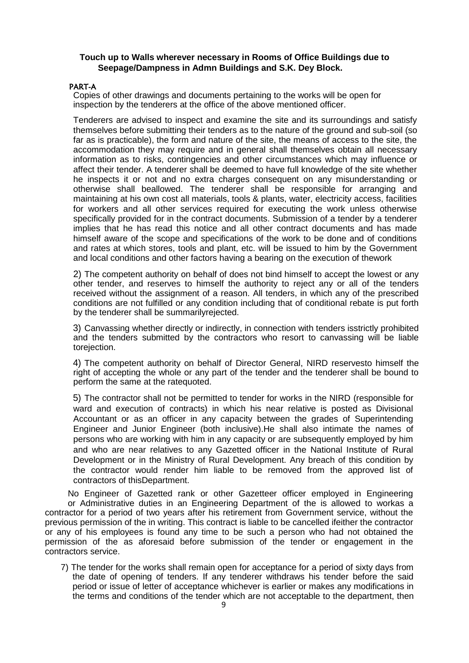### **Touch up to Walls wherever necessary in Rooms of Office Buildings due to Seepage/Dampness in Admn Buildings and S.K. Dey Block.**

#### PART-A

Copies of other drawings and documents pertaining to the works will be open for inspection by the tenderers at the office of the above mentioned officer.

Tenderers are advised to inspect and examine the site and its surroundings and satisfy themselves before submitting their tenders as to the nature of the ground and sub-soil (so far as is practicable), the form and nature of the site, the means of access to the site, the accommodation they may require and in general shall themselves obtain all necessary information as to risks, contingencies and other circumstances which may influence or affect their tender. A tenderer shall be deemed to have full knowledge of the site whether he inspects it or not and no extra charges consequent on any misunderstanding or otherwise shall beallowed. The tenderer shall be responsible for arranging and maintaining at his own cost all materials, tools & plants, water, electricity access, facilities for workers and all other services required for executing the work unless otherwise specifically provided for in the contract documents. Submission of a tender by a tenderer implies that he has read this notice and all other contract documents and has made himself aware of the scope and specifications of the work to be done and of conditions and rates at which stores, tools and plant, etc. will be issued to him by the Government and local conditions and other factors having a bearing on the execution of thework

2) The competent authority on behalf of does not bind himself to accept the lowest or any other tender, and reserves to himself the authority to reject any or all of the tenders received without the assignment of a reason. All tenders, in which any of the prescribed conditions are not fulfilled or any condition including that of conditional rebate is put forth by the tenderer shall be summarilyrejected.

3) Canvassing whether directly or indirectly, in connection with tenders isstrictly prohibited and the tenders submitted by the contractors who resort to canvassing will be liable torejection.

4) The competent authority on behalf of Director General, NIRD reservesto himself the right of accepting the whole or any part of the tender and the tenderer shall be bound to perform the same at the ratequoted.

5) The contractor shall not be permitted to tender for works in the NIRD (responsible for ward and execution of contracts) in which his near relative is posted as Divisional Accountant or as an officer in any capacity between the grades of Superintending Engineer and Junior Engineer (both inclusive).He shall also intimate the names of persons who are working with him in any capacity or are subsequently employed by him and who are near relatives to any Gazetted officer in the National Institute of Rural Development or in the Ministry of Rural Development. Any breach of this condition by the contractor would render him liable to be removed from the approved list of contractors of thisDepartment.

No Engineer of Gazetted rank or other Gazetteer officer employed in Engineering or Administrative duties in an Engineering Department of the is allowed to workas a contractor for a period of two years after his retirement from Government service, without the previous permission of the in writing. This contract is liable to be cancelled ifeither the contractor or any of his employees is found any time to be such a person who had not obtained the permission of the as aforesaid before submission of the tender or engagement in the contractors service.

7) The tender for the works shall remain open for acceptance for a period of sixty days from the date of opening of tenders. If any tenderer withdraws his tender before the said period or issue of letter of acceptance whichever is earlier or makes any modifications in the terms and conditions of the tender which are not acceptable to the department, then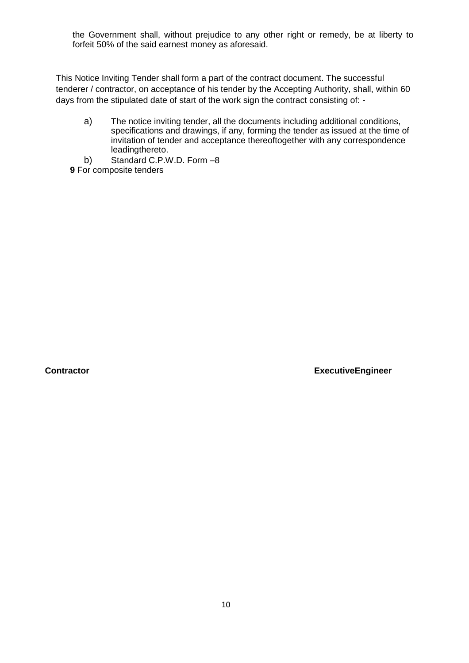the Government shall, without prejudice to any other right or remedy, be at liberty to forfeit 50% of the said earnest money as aforesaid.

This Notice Inviting Tender shall form a part of the contract document. The successful tenderer / contractor, on acceptance of his tender by the Accepting Authority, shall, within 60 days from the stipulated date of start of the work sign the contract consisting of: -

- a) The notice inviting tender, all the documents including additional conditions, specifications and drawings, if any, forming the tender as issued at the time of invitation of tender and acceptance thereoftogether with any correspondence leadingthereto.
- b) Standard C.P.W.D. Form –8
- **9** For composite tenders

**Contractor ExecutiveEngineer**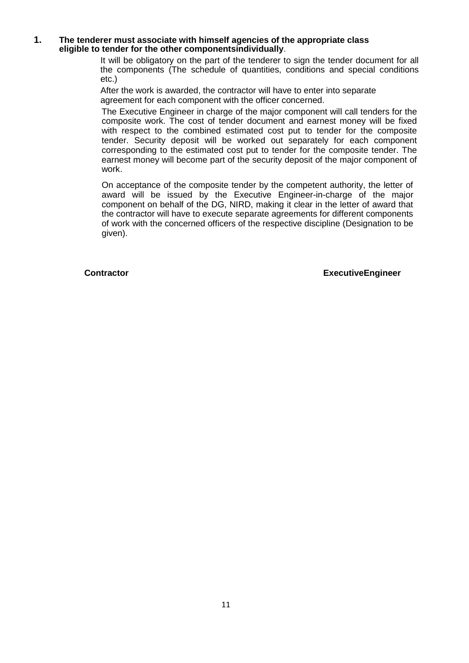#### **1. The tenderer must associate with himself agencies of the appropriate class eligible to tender for the other componentsindividually**.

It will be obligatory on the part of the tenderer to sign the tender document for all the components (The schedule of quantities, conditions and special conditions etc.)

After the work is awarded, the contractor will have to enter into separate agreement for each component with the officer concerned.

The Executive Engineer in charge of the major component will call tenders for the composite work. The cost of tender document and earnest money will be fixed with respect to the combined estimated cost put to tender for the composite tender. Security deposit will be worked out separately for each component corresponding to the estimated cost put to tender for the composite tender. The earnest money will become part of the security deposit of the major component of work.

On acceptance of the composite tender by the competent authority, the letter of award will be issued by the Executive Engineer-in-charge of the major component on behalf of the DG, NIRD, making it clear in the letter of award that the contractor will have to execute separate agreements for different components of work with the concerned officers of the respective discipline (Designation to be given).

**Contractor ExecutiveEngineer**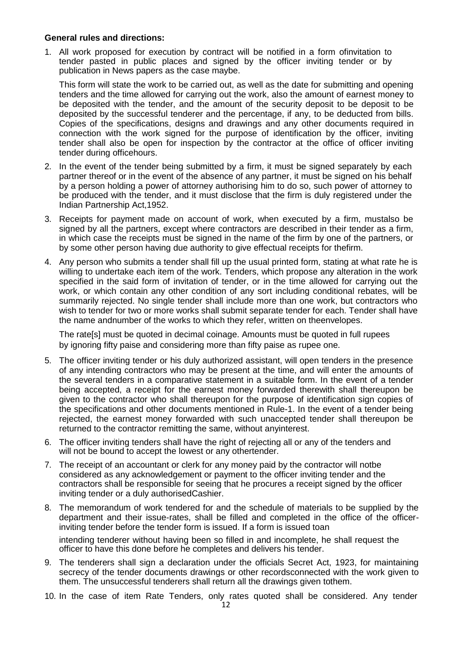#### **General rules and directions:**

1. All work proposed for execution by contract will be notified in a form ofinvitation to tender pasted in public places and signed by the officer inviting tender or by publication in News papers as the case maybe.

This form will state the work to be carried out, as well as the date for submitting and opening tenders and the time allowed for carrying out the work, also the amount of earnest money to be deposited with the tender, and the amount of the security deposit to be deposit to be deposited by the successful tenderer and the percentage, if any, to be deducted from bills. Copies of the specifications, designs and drawings and any other documents required in connection with the work signed for the purpose of identification by the officer, inviting tender shall also be open for inspection by the contractor at the office of officer inviting tender during officehours.

- 2. In the event of the tender being submitted by a firm, it must be signed separately by each partner thereof or in the event of the absence of any partner, it must be signed on his behalf by a person holding a power of attorney authorising him to do so, such power of attorney to be produced with the tender, and it must disclose that the firm is duly registered under the Indian Partnership Act,1952.
- 3. Receipts for payment made on account of work, when executed by a firm, mustalso be signed by all the partners, except where contractors are described in their tender as a firm, in which case the receipts must be signed in the name of the firm by one of the partners, or by some other person having due authority to give effectual receipts for thefirm.
- 4. Any person who submits a tender shall fill up the usual printed form, stating at what rate he is willing to undertake each item of the work. Tenders, which propose any alteration in the work specified in the said form of invitation of tender, or in the time allowed for carrying out the work, or which contain any other condition of any sort including conditional rebates, will be summarily rejected. No single tender shall include more than one work, but contractors who wish to tender for two or more works shall submit separate tender for each. Tender shall have the name andnumber of the works to which they refer, written on theenvelopes.

The rate[s] must be quoted in decimal coinage. Amounts must be quoted in full rupees by ignoring fifty paise and considering more than fifty paise as rupee one.

- 5. The officer inviting tender or his duly authorized assistant, will open tenders in the presence of any intending contractors who may be present at the time, and will enter the amounts of the several tenders in a comparative statement in a suitable form. In the event of a tender being accepted, a receipt for the earnest money forwarded therewith shall thereupon be given to the contractor who shall thereupon for the purpose of identification sign copies of the specifications and other documents mentioned in Rule-1. In the event of a tender being rejected, the earnest money forwarded with such unaccepted tender shall thereupon be returned to the contractor remitting the same, without anyinterest.
- 6. The officer inviting tenders shall have the right of rejecting all or any of the tenders and will not be bound to accept the lowest or any othertender.
- 7. The receipt of an accountant or clerk for any money paid by the contractor will notbe considered as any acknowledgement or payment to the officer inviting tender and the contractors shall be responsible for seeing that he procures a receipt signed by the officer inviting tender or a duly authorisedCashier.
- 8. The memorandum of work tendered for and the schedule of materials to be supplied by the department and their issue-rates, shall be filled and completed in the office of the officerinviting tender before the tender form is issued. If a form is issued toan

intending tenderer without having been so filled in and incomplete, he shall request the officer to have this done before he completes and delivers his tender.

- 9. The tenderers shall sign a declaration under the officials Secret Act, 1923, for maintaining secrecy of the tender documents drawings or other recordsconnected with the work given to them. The unsuccessful tenderers shall return all the drawings given tothem.
- 10. In the case of item Rate Tenders, only rates quoted shall be considered. Any tender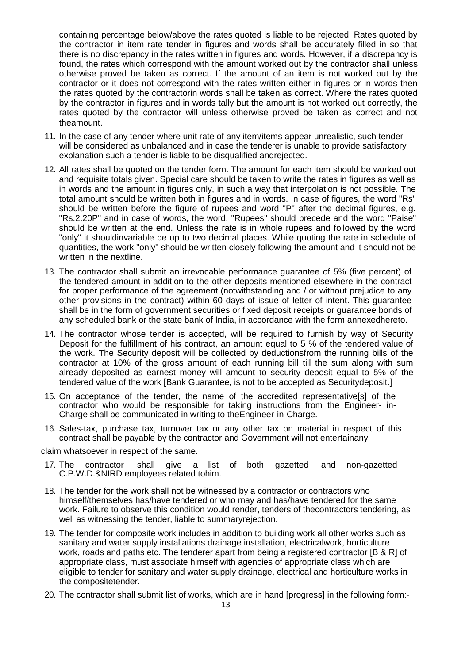containing percentage below/above the rates quoted is liable to be rejected. Rates quoted by the contractor in item rate tender in figures and words shall be accurately filled in so that there is no discrepancy in the rates written in figures and words. However, if a discrepancy is found, the rates which correspond with the amount worked out by the contractor shall unless otherwise proved be taken as correct. If the amount of an item is not worked out by the contractor or it does not correspond with the rates written either in figures or in words then the rates quoted by the contractorin words shall be taken as correct. Where the rates quoted by the contractor in figures and in words tally but the amount is not worked out correctly, the rates quoted by the contractor will unless otherwise proved be taken as correct and not theamount.

- 11. In the case of any tender where unit rate of any item/items appear unrealistic, such tender will be considered as unbalanced and in case the tenderer is unable to provide satisfactory explanation such a tender is liable to be disqualified andrejected.
- 12. All rates shall be quoted on the tender form. The amount for each item should be worked out and requisite totals given. Special care should be taken to write the rates in figures as well as in words and the amount in figures only, in such a way that interpolation is not possible. The total amount should be written both in figures and in words. In case of figures, the word "Rs" should be written before the figure of rupees and word "P" after the decimal figures, e.g. "Rs.2.20P" and in case of words, the word, "Rupees" should precede and the word "Paise" should be written at the end. Unless the rate is in whole rupees and followed by the word "only" it shouldinvariable be up to two decimal places. While quoting the rate in schedule of quantities, the work "only" should be written closely following the amount and it should not be written in the nextline.
- 13. The contractor shall submit an irrevocable performance guarantee of 5% (five percent) of the tendered amount in addition to the other deposits mentioned elsewhere in the contract for proper performance of the agreement (notwithstanding and / or without prejudice to any other provisions in the contract) within 60 days of issue of letter of intent. This guarantee shall be in the form of government securities or fixed deposit receipts or guarantee bonds of any scheduled bank or the state bank of India, in accordance with the form annexedhereto.
- 14. The contractor whose tender is accepted, will be required to furnish by way of Security Deposit for the fulfillment of his contract, an amount equal to 5 % of the tendered value of the work. The Security deposit will be collected by deductionsfrom the running bills of the contractor at 10% of the gross amount of each running bill till the sum along with sum already deposited as earnest money will amount to security deposit equal to 5% of the tendered value of the work [Bank Guarantee, is not to be accepted as Securitydeposit.]
- 15. On acceptance of the tender, the name of the accredited representative[s] of the contractor who would be responsible for taking instructions from the Engineer- in-Charge shall be communicated in writing to theEngineer-in-Charge.
- 16. Sales-tax, purchase tax, turnover tax or any other tax on material in respect of this contract shall be payable by the contractor and Government will not entertainany

claim whatsoever in respect of the same.

- 17. The contractor shall give a list of both gazetted and non-gazetted C.P.W.D.&NIRD employees related tohim.
- 18. The tender for the work shall not be witnessed by a contractor or contractors who himself/themselves has/have tendered or who may and has/have tendered for the same work. Failure to observe this condition would render, tenders of thecontractors tendering, as well as witnessing the tender, liable to summaryrejection.
- 19. The tender for composite work includes in addition to building work all other works such as sanitary and water supply installations drainage installation, electricalwork, horticulture work, roads and paths etc. The tenderer apart from being a registered contractor [B & R] of appropriate class, must associate himself with agencies of appropriate class which are eligible to tender for sanitary and water supply drainage, electrical and horticulture works in the compositetender.
- 20. The contractor shall submit list of works, which are in hand [progress] in the following form:-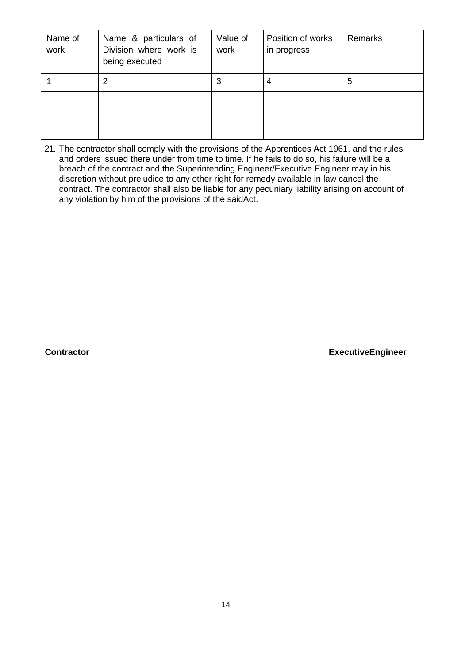| Name of<br>work | Name & particulars of<br>Division where work is<br>being executed | Value of<br>work | Position of works<br>in progress | Remarks |
|-----------------|-------------------------------------------------------------------|------------------|----------------------------------|---------|
|                 | 2                                                                 | 3                | 4                                | 5       |
|                 |                                                                   |                  |                                  |         |

21. The contractor shall comply with the provisions of the Apprentices Act 1961, and the rules and orders issued there under from time to time. If he fails to do so, his failure will be a breach of the contract and the Superintending Engineer/Executive Engineer may in his discretion without prejudice to any other right for remedy available in law cancel the contract. The contractor shall also be liable for any pecuniary liability arising on account of any violation by him of the provisions of the saidAct.

**Contractor ExecutiveEngineer**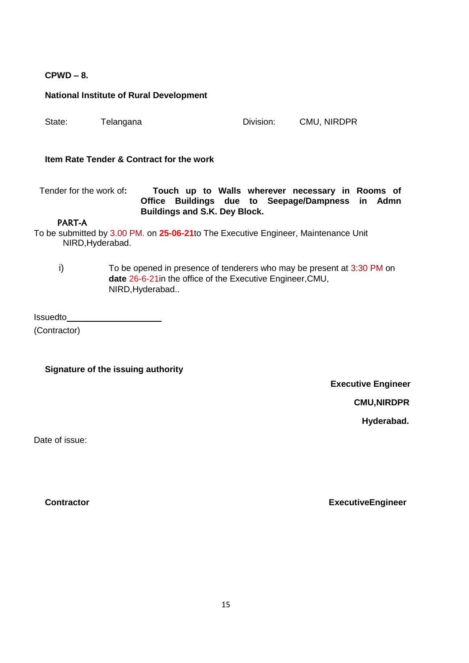# **CPWD – 8.**

|                         | <b>National Institute of Rural Development</b>                                                                                                          |           |                                                                                                  |
|-------------------------|---------------------------------------------------------------------------------------------------------------------------------------------------------|-----------|--------------------------------------------------------------------------------------------------|
| State:                  | Telangana                                                                                                                                               | Division: | CMU, NIRDPR                                                                                      |
|                         | Item Rate Tender & Contract for the work                                                                                                                |           |                                                                                                  |
| Tender for the work of: | Office<br><b>Buildings and S.K. Dey Block.</b>                                                                                                          |           | Touch up to Walls wherever necessary in Rooms of<br>Buildings due to Seepage/Dampness<br>in Admn |
| <b>PART-A</b>           |                                                                                                                                                         |           |                                                                                                  |
|                         | To be submitted by 3.00 PM. on 25-06-21to The Executive Engineer, Maintenance Unit<br>NIRD, Hyderabad.                                                  |           |                                                                                                  |
| i)                      | To be opened in presence of tenderers who may be present at 3:30 PM on<br>date 26-6-21 in the office of the Executive Engineer, CMU,<br>NIRD, Hyderabad |           |                                                                                                  |
| Issuedto                |                                                                                                                                                         |           |                                                                                                  |

(Contractor)

**Signature of the issuing authority**

**Executive Engineer** 

**CMU,NIRDPR**

**Hyderabad.**

Date of issue:

**Contractor ExecutiveEngineer**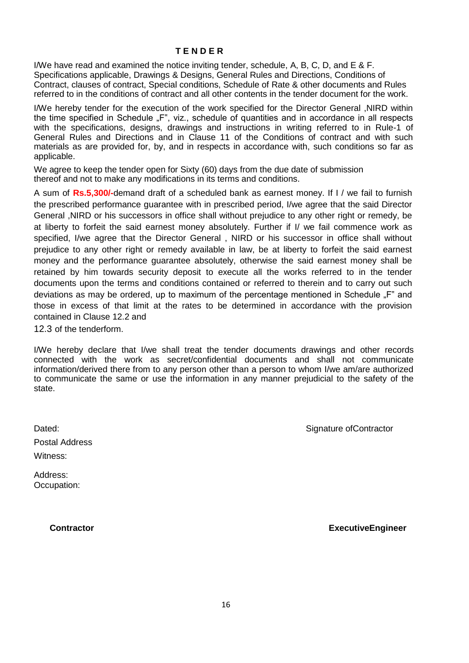#### **T E N D E R**

I/We have read and examined the notice inviting tender, schedule, A, B, C, D, and E & F. Specifications applicable, Drawings & Designs, General Rules and Directions, Conditions of Contract, clauses of contract, Special conditions, Schedule of Rate & other documents and Rules referred to in the conditions of contract and all other contents in the tender document for the work.

I/We hereby tender for the execution of the work specified for the Director General ,NIRD within the time specified in Schedule "F", viz., schedule of quantities and in accordance in all respects with the specifications, designs, drawings and instructions in writing referred to in Rule-1 of General Rules and Directions and in Clause 11 of the Conditions of contract and with such materials as are provided for, by, and in respects in accordance with, such conditions so far as applicable.

We agree to keep the tender open for Sixty (60) days from the due date of submission thereof and not to make any modifications in its terms and conditions.

A sum of **Rs.5,300/-**demand draft of a scheduled bank as earnest money. If I / we fail to furnish the prescribed performance guarantee with in prescribed period, I/we agree that the said Director General ,NIRD or his successors in office shall without prejudice to any other right or remedy, be at liberty to forfeit the said earnest money absolutely. Further if I/ we fail commence work as specified, I/we agree that the Director General, NIRD or his successor in office shall without prejudice to any other right or remedy available in law, be at liberty to forfeit the said earnest money and the performance guarantee absolutely, otherwise the said earnest money shall be retained by him towards security deposit to execute all the works referred to in the tender documents upon the terms and conditions contained or referred to therein and to carry out such deviations as may be ordered, up to maximum of the percentage mentioned in Schedule "F" and those in excess of that limit at the rates to be determined in accordance with the provision contained in Clause 12.2 and

12.3 of the tenderform.

I/We hereby declare that I/we shall treat the tender documents drawings and other records connected with the work as secret/confidential documents and shall not communicate information/derived there from to any person other than a person to whom I/we am/are authorized to communicate the same or use the information in any manner prejudicial to the safety of the state.

Postal Address Witness:

Address: Occupation:

**Contractor ExecutiveEngineer**

Dated: Contractor Contractor Contractor Contractor Contractor Contractor Contractor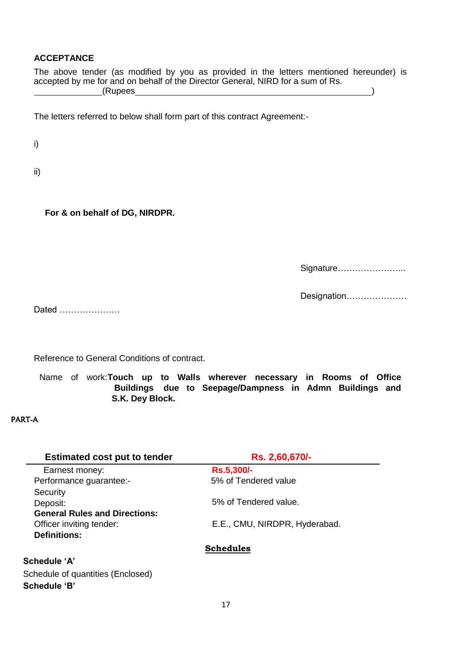# **ACCEPTANCE**

The above tender (as modified by you as provided in the letters mentioned hereunder) is accepted by me for and on behalf of the Director General, NIRD for a sum of Rs. (Rupees )

The letters referred to below shall form part of this contract Agreement:-

i)

ii)

**For & on behalf of DG, NIRDPR.**

Signature…………………...

Designation…………………

Dated …………………

Reference to General Conditions of contract.

Name of work:**Touch up to Walls wherever necessary in Rooms of Office Buildings due to Seepage/Dampness in Admn Buildings and S.K. Dey Block.**

# PART-A

| <b>Estimated cost put to tender</b>  | Rs. 2,60,670/-                |
|--------------------------------------|-------------------------------|
| Earnest money:                       | <b>Rs.5,300/-</b>             |
| Performance guarantee:-              | 5% of Tendered value          |
| Security                             |                               |
| Deposit:                             | 5% of Tendered value.         |
| <b>General Rules and Directions:</b> |                               |
| Officer inviting tender:             | E.E., CMU, NIRDPR, Hyderabad. |
| <b>Definitions:</b>                  |                               |
|                                      | <b>Schedules</b>              |
| <b>Schedule 'A'</b>                  |                               |
| Schedule of quantities (Enclosed)    |                               |

**Schedule "B"**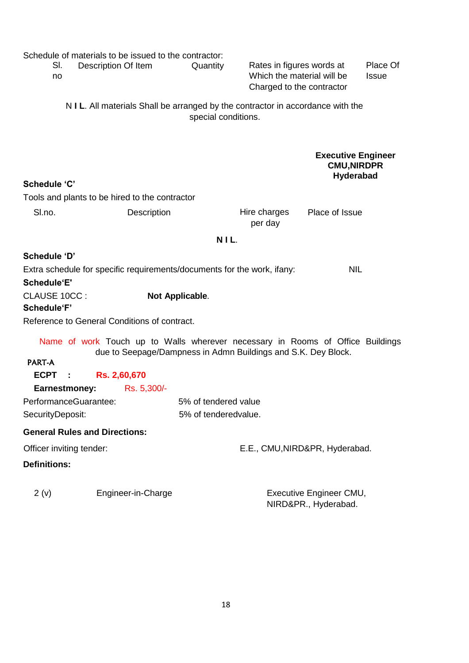|                     | SI.<br>no            | Schedule of materials to be issued to the contractor:<br>Description Of Item    |                                                               | Quantity             | Rates in figures words at<br>Which the material will be<br>Charged to the contractor |                                                              | Place Of<br><b>Issue</b> |
|---------------------|----------------------|---------------------------------------------------------------------------------|---------------------------------------------------------------|----------------------|--------------------------------------------------------------------------------------|--------------------------------------------------------------|--------------------------|
|                     |                      | N I L. All materials Shall be arranged by the contractor in accordance with the |                                                               | special conditions.  |                                                                                      |                                                              |                          |
| <b>Schedule 'C'</b> |                      |                                                                                 |                                                               |                      |                                                                                      | <b>Executive Engineer</b><br><b>CMU, NIRDPR</b><br>Hyderabad |                          |
|                     |                      | Tools and plants to be hired to the contractor                                  |                                                               |                      |                                                                                      |                                                              |                          |
| SI.no.              |                      |                                                                                 | Description                                                   |                      | Hire charges<br>per day                                                              | Place of Issue                                               |                          |
|                     |                      |                                                                                 |                                                               | NIL.                 |                                                                                      |                                                              |                          |
| Schedule 'D'        |                      |                                                                                 |                                                               |                      |                                                                                      |                                                              |                          |
|                     |                      | Extra schedule for specific requirements/documents for the work, ifany:         |                                                               |                      |                                                                                      | <b>NIL</b>                                                   |                          |
| <b>Schedule'E'</b>  |                      |                                                                                 |                                                               |                      |                                                                                      |                                                              |                          |
| CLAUSE 10CC:        |                      |                                                                                 | Not Applicable.                                               |                      |                                                                                      |                                                              |                          |
| Schedule'F'         |                      | Reference to General Conditions of contract.                                    |                                                               |                      |                                                                                      |                                                              |                          |
| <b>PART-A</b>       |                      | Name of work Touch up to Walls wherever necessary in Rooms of Office Buildings  | due to Seepage/Dampness in Admn Buildings and S.K. Dey Block. |                      |                                                                                      |                                                              |                          |
| <b>ECPT</b>         | - 1                  | Rs. 2,60,670                                                                    |                                                               |                      |                                                                                      |                                                              |                          |
|                     | <b>Earnestmoney:</b> | Rs. 5,300/-                                                                     |                                                               |                      |                                                                                      |                                                              |                          |
|                     |                      | PerformanceGuarantee:                                                           |                                                               | 5% of tendered value |                                                                                      |                                                              |                          |
| SecurityDeposit:    |                      |                                                                                 |                                                               | 5% of tenderedvalue. |                                                                                      |                                                              |                          |
|                     |                      | <b>General Rules and Directions:</b>                                            |                                                               |                      |                                                                                      |                                                              |                          |
|                     |                      | Officer inviting tender:                                                        |                                                               |                      |                                                                                      | E.E., CMU, NIRD&PR, Hyderabad.                               |                          |
| <b>Definitions:</b> |                      |                                                                                 |                                                               |                      |                                                                                      |                                                              |                          |
| 2(v)                |                      | Engineer-in-Charge                                                              |                                                               |                      |                                                                                      | Executive Engineer CMU,<br>NIRD&PR., Hyderabad.              |                          |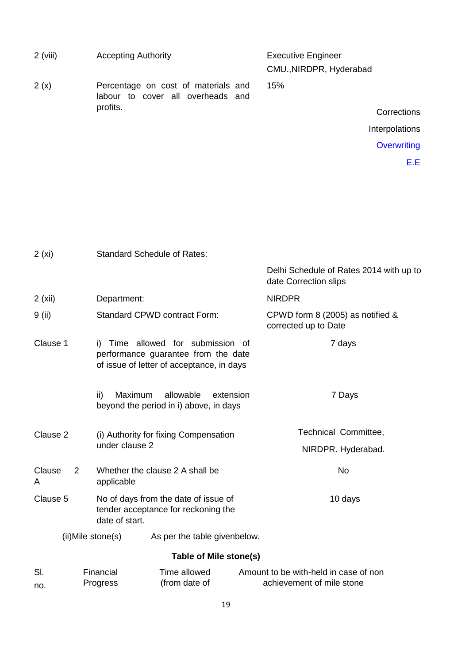| $2$ (viii)        | <b>Accepting Authority</b>                                                                                            | <b>Executive Engineer</b><br>CMU., NIRDPR, Hyderabad             |  |  |
|-------------------|-----------------------------------------------------------------------------------------------------------------------|------------------------------------------------------------------|--|--|
| 2(x)              | Percentage on cost of materials and<br>labour to cover all overheads and                                              | 15%                                                              |  |  |
|                   | profits.                                                                                                              | Corrections                                                      |  |  |
|                   |                                                                                                                       | Interpolations                                                   |  |  |
|                   |                                                                                                                       | <b>Overwriting</b>                                               |  |  |
|                   |                                                                                                                       | E.E                                                              |  |  |
|                   |                                                                                                                       |                                                                  |  |  |
| 2(xi)             | <b>Standard Schedule of Rates:</b>                                                                                    |                                                                  |  |  |
|                   |                                                                                                                       | Delhi Schedule of Rates 2014 with up to<br>date Correction slips |  |  |
| 2(xii)            | Department:                                                                                                           | <b>NIRDPR</b>                                                    |  |  |
| 9 (ii)            | Standard CPWD contract Form:                                                                                          | CPWD form 8 (2005) as notified &<br>corrected up to Date         |  |  |
| Clause 1          | i) Time allowed for submission of<br>performance guarantee from the date<br>of issue of letter of acceptance, in days | 7 days                                                           |  |  |
|                   | Maximum allowable<br>ii)<br>extension<br>beyond the period in i) above, in days                                       | 7 Days                                                           |  |  |
| Clause 2          | (i) Authority for fixing Compensation                                                                                 | Technical Committee,                                             |  |  |
|                   | under clause 2                                                                                                        | NIRDPR. Hyderabad.                                               |  |  |
| Clause<br>2<br>A  | Whether the clause 2 A shall be<br>applicable                                                                         | No                                                               |  |  |
| Clause 5          | No of days from the date of issue of<br>tender acceptance for reckoning the<br>date of start.                         | 10 days                                                          |  |  |
| (ii)Mile stone(s) | As per the table givenbelow.                                                                                          |                                                                  |  |  |
|                   | Table of Mile stone(s)                                                                                                |                                                                  |  |  |

| -SI. | Financial       | Time allowed  | Amount to be with-held in case of non |
|------|-----------------|---------------|---------------------------------------|
| no.  | <b>Progress</b> | (from date of | achievement of mile stone             |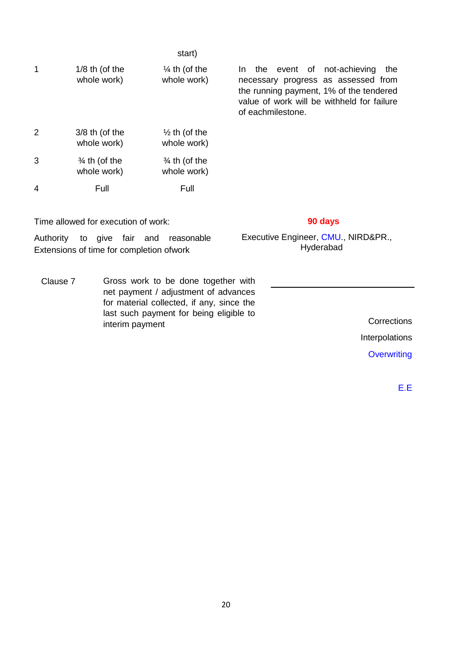|   |                                         | start)                                  |                                                                                                                                                                                           |
|---|-----------------------------------------|-----------------------------------------|-------------------------------------------------------------------------------------------------------------------------------------------------------------------------------------------|
| 1 | $1/8$ th (of the<br>whole work)         | $\frac{1}{4}$ th (of the<br>whole work) | In the event of not-achieving<br>the<br>necessary progress as assessed from<br>the running payment, 1% of the tendered<br>value of work will be withheld for failure<br>of eachmilestone. |
| 2 | $3/8$ th (of the<br>whole work)         | $\frac{1}{2}$ th (of the<br>whole work) |                                                                                                                                                                                           |
| 3 | $\frac{3}{4}$ th (of the<br>whole work) | $\frac{3}{4}$ th (of the<br>whole work) |                                                                                                                                                                                           |
| 4 | Full                                    | Full                                    |                                                                                                                                                                                           |

Time allowed for execution of work: **90 days**

Authority to give fair and reasonable Extensions of time for completion ofwork

Clause 7 Gross work to be done together with net payment / adjustment of advances for material collected, if any, since the last such payment for being eligible to interim payment Conservation of the sense of the corrections corrections corrections

Executive Engineer, CMU., NIRD&PR.,

Hyderabad

Interpolations

**Overwriting** 

E.E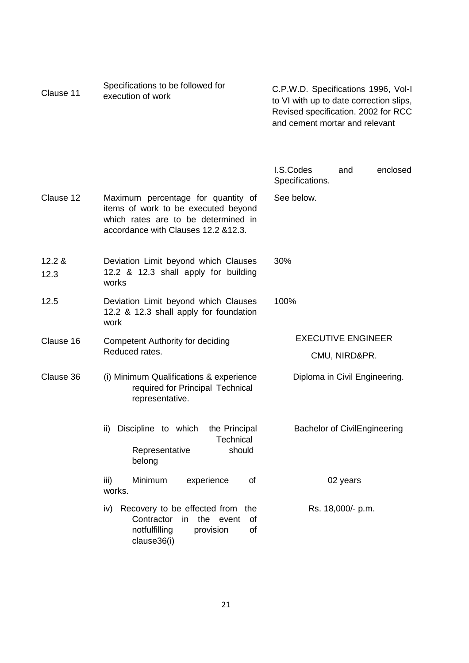| Clause 11      | Specifications to be followed for<br>execution of work                                                                                                   | C.P.W.D. Specifications 1996, Vol-I<br>to VI with up to date correction slips,<br>Revised specification. 2002 for RCC<br>and cement mortar and relevant |  |  |
|----------------|----------------------------------------------------------------------------------------------------------------------------------------------------------|---------------------------------------------------------------------------------------------------------------------------------------------------------|--|--|
|                |                                                                                                                                                          | I.S.Codes<br>enclosed<br>and<br>Specifications.                                                                                                         |  |  |
| Clause 12      | Maximum percentage for quantity of<br>items of work to be executed beyond<br>which rates are to be determined in<br>accordance with Clauses 12.2 & 12.3. | See below.                                                                                                                                              |  |  |
| 12.2 &<br>12.3 | Deviation Limit beyond which Clauses<br>12.2 & 12.3 shall apply for building<br>works                                                                    | 30%                                                                                                                                                     |  |  |
| 12.5           | Deviation Limit beyond which Clauses<br>12.2 & 12.3 shall apply for foundation<br>work                                                                   | 100%                                                                                                                                                    |  |  |
| Clause 16      | <b>Competent Authority for deciding</b>                                                                                                                  | <b>EXECUTIVE ENGINEER</b>                                                                                                                               |  |  |
|                | Reduced rates.                                                                                                                                           | CMU, NIRD&PR.                                                                                                                                           |  |  |
| Clause 36      | (i) Minimum Qualifications & experience<br>required for Principal Technical<br>representative.                                                           | Diploma in Civil Engineering.                                                                                                                           |  |  |
|                | Discipline to which<br>the Principal<br>ii)<br>Technical<br>Representative<br>should<br>belong                                                           | <b>Bachelor of CivilEngineering</b>                                                                                                                     |  |  |
|                | iii)<br>Minimum<br>of<br>experience<br>works.                                                                                                            | 02 years                                                                                                                                                |  |  |
|                | Recovery to be effected from the<br>iv)<br>Contractor<br>the event<br>in<br>of<br>notfulfilling<br>provision<br>of<br>clause36(i)                        | Rs. 18,000/- p.m.                                                                                                                                       |  |  |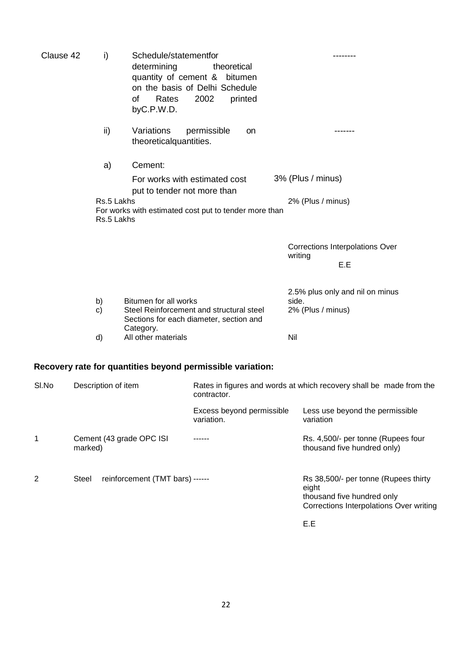| Clause 42 | i)                       | Schedule/statementfor<br>determining<br>theoretical<br>quantity of cement & bitumen<br>on the basis of Delhi Schedule<br>0f<br>Rates<br>2002<br>printed<br>byC.P.W.D. |                                                               |
|-----------|--------------------------|-----------------------------------------------------------------------------------------------------------------------------------------------------------------------|---------------------------------------------------------------|
|           | ii)                      | Variations<br>permissible<br><b>on</b><br>theoretical quantities.                                                                                                     | -------                                                       |
|           | a)                       | Cement:                                                                                                                                                               |                                                               |
|           |                          | For works with estimated cost<br>put to tender not more than                                                                                                          | 3% (Plus / minus)                                             |
|           | Rs.5 Lakhs<br>Rs.5 Lakhs | For works with estimated cost put to tender more than                                                                                                                 | 2% (Plus / minus)                                             |
|           |                          |                                                                                                                                                                       | Corrections Interpolations Over<br>writing<br>E.E             |
|           | b)<br>c)                 | Bitumen for all works<br>Steel Reinforcement and structural steel<br>Sections for each diameter, section and<br>Category.                                             | 2.5% plus only and nil on minus<br>side.<br>2% (Plus / minus) |
|           | d)                       | All other materials                                                                                                                                                   | Nil                                                           |

# **Recovery rate for quantities beyond permissible variation:**

| SI.No | Description of item                      | Rates in figures and words at which recovery shall be made from the<br>contractor. |                                                                                                                        |
|-------|------------------------------------------|------------------------------------------------------------------------------------|------------------------------------------------------------------------------------------------------------------------|
|       |                                          | Excess beyond permissible<br>variation.                                            | Less use beyond the permissible<br>variation                                                                           |
| 1     | Cement (43 grade OPC ISI<br>marked)      |                                                                                    | Rs. 4,500/- per tonne (Rupees four<br>thousand five hundred only)                                                      |
| 2     | reinforcement (TMT bars) ------<br>Steel |                                                                                    | Rs 38,500/- per tonne (Rupees thirty<br>eight<br>thousand five hundred only<br>Corrections Interpolations Over writing |
|       |                                          |                                                                                    | E.E                                                                                                                    |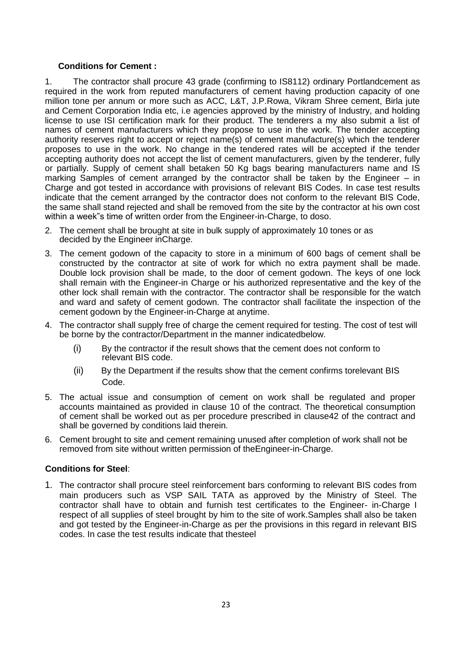#### **Conditions for Cement :**

1. The contractor shall procure 43 grade (confirming to IS8112) ordinary Portlandcement as required in the work from reputed manufacturers of cement having production capacity of one million tone per annum or more such as ACC, L&T, J.P.Rowa, Vikram Shree cement, Birla jute and Cement Corporation India etc, i.e agencies approved by the ministry of Industry, and holding license to use ISI certification mark for their product. The tenderers a my also submit a list of names of cement manufacturers which they propose to use in the work. The tender accepting authority reserves right to accept or reject name(s) of cement manufacture(s) which the tenderer proposes to use in the work. No change in the tendered rates will be accepted if the tender accepting authority does not accept the list of cement manufacturers, given by the tenderer, fully or partially. Supply of cement shall betaken 50 Kg bags bearing manufacturers name and IS marking Samples of cement arranged by the contractor shall be taken by the Engineer – in Charge and got tested in accordance with provisions of relevant BIS Codes. In case test results indicate that the cement arranged by the contractor does not conform to the relevant BIS Code, the same shall stand rejected and shall be removed from the site by the contractor at his own cost within a week"s time of written order from the Engineer-in-Charge, to doso.

- 2. The cement shall be brought at site in bulk supply of approximately 10 tones or as decided by the Engineer inCharge.
- 3. The cement godown of the capacity to store in a minimum of 600 bags of cement shall be constructed by the contractor at site of work for which no extra payment shall be made. Double lock provision shall be made, to the door of cement godown. The keys of one lock shall remain with the Engineer-in Charge or his authorized representative and the key of the other lock shall remain with the contractor. The contractor shall be responsible for the watch and ward and safety of cement godown. The contractor shall facilitate the inspection of the cement godown by the Engineer-in-Charge at anytime.
- 4. The contractor shall supply free of charge the cement required for testing. The cost of test will be borne by the contractor/Department in the manner indicatedbelow.
	- (i) By the contractor if the result shows that the cement does not conform to relevant BIS code.
	- (ii) By the Department if the results show that the cement confirms torelevant BIS Code.
- 5. The actual issue and consumption of cement on work shall be regulated and proper accounts maintained as provided in clause 10 of the contract. The theoretical consumption of cement shall be worked out as per procedure prescribed in clause42 of the contract and shall be governed by conditions laid therein.
- 6. Cement brought to site and cement remaining unused after completion of work shall not be removed from site without written permission of theEngineer-in-Charge.

### **Conditions for Steel**:

1. The contractor shall procure steel reinforcement bars conforming to relevant BIS codes from main producers such as VSP SAIL TATA as approved by the Ministry of Steel. The contractor shall have to obtain and furnish test certificates to the Engineer- in-Charge I respect of all supplies of steel brought by him to the site of work.Samples shall also be taken and got tested by the Engineer-in-Charge as per the provisions in this regard in relevant BIS codes. In case the test results indicate that thesteel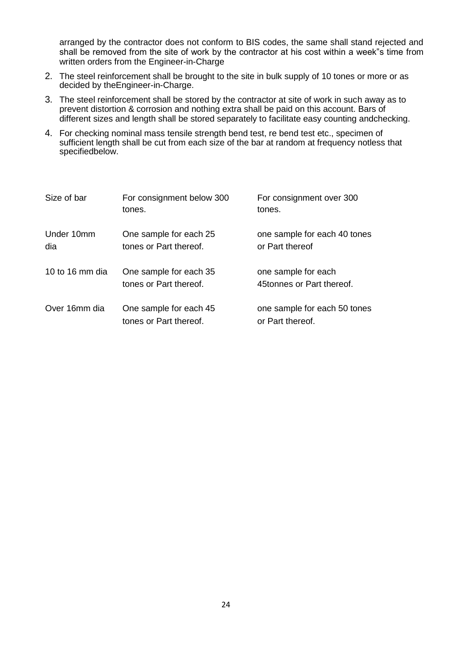arranged by the contractor does not conform to BIS codes, the same shall stand rejected and shall be removed from the site of work by the contractor at his cost within a week"s time from written orders from the Engineer-in-Charge

- 2. The steel reinforcement shall be brought to the site in bulk supply of 10 tones or more or as decided by theEngineer-in-Charge.
- 3. The steel reinforcement shall be stored by the contractor at site of work in such away as to prevent distortion & corrosion and nothing extra shall be paid on this account. Bars of different sizes and length shall be stored separately to facilitate easy counting andchecking.
- 4. For checking nominal mass tensile strength bend test, re bend test etc., specimen of sufficient length shall be cut from each size of the bar at random at frequency notless that specifiedbelow.

| Size of bar       | For consignment below 300<br>tones.              | For consignment over 300<br>tones.               |
|-------------------|--------------------------------------------------|--------------------------------------------------|
| Under 10mm<br>dia | One sample for each 25<br>tones or Part thereof. | one sample for each 40 tones<br>or Part thereof  |
| 10 to 16 mm dia   | One sample for each 35<br>tones or Part thereof. | one sample for each<br>45tonnes or Part thereof. |
| Over 16mm dia     | One sample for each 45<br>tones or Part thereof. | one sample for each 50 tones<br>or Part thereof. |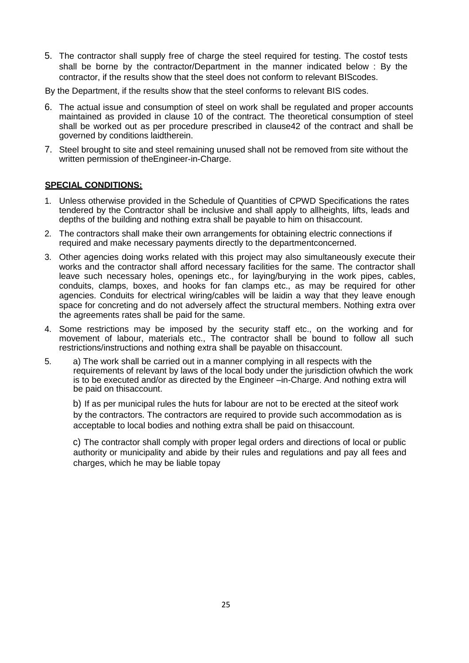5. The contractor shall supply free of charge the steel required for testing. The costof tests shall be borne by the contractor/Department in the manner indicated below : By the contractor, if the results show that the steel does not conform to relevant BIScodes.

By the Department, if the results show that the steel conforms to relevant BIS codes.

- 6. The actual issue and consumption of steel on work shall be regulated and proper accounts maintained as provided in clause 10 of the contract. The theoretical consumption of steel shall be worked out as per procedure prescribed in clause42 of the contract and shall be governed by conditions laidtherein.
- 7. Steel brought to site and steel remaining unused shall not be removed from site without the written permission of theEngineer-in-Charge.

#### **SPECIAL CONDITIONS:**

- 1. Unless otherwise provided in the Schedule of Quantities of CPWD Specifications the rates tendered by the Contractor shall be inclusive and shall apply to allheights, lifts, leads and depths of the building and nothing extra shall be payable to him on thisaccount.
- 2. The contractors shall make their own arrangements for obtaining electric connections if required and make necessary payments directly to the departmentconcerned.
- 3. Other agencies doing works related with this project may also simultaneously execute their works and the contractor shall afford necessary facilities for the same. The contractor shall leave such necessary holes, openings etc., for laying/burying in the work pipes, cables, conduits, clamps, boxes, and hooks for fan clamps etc., as may be required for other agencies. Conduits for electrical wiring/cables will be laidin a way that they leave enough space for concreting and do not adversely affect the structural members. Nothing extra over the agreements rates shall be paid for the same.
- 4. Some restrictions may be imposed by the security staff etc., on the working and for movement of labour, materials etc., The contractor shall be bound to follow all such restrictions/instructions and nothing extra shall be payable on thisaccount.
- 5. a) The work shall be carried out in a manner complying in all respects with the requirements of relevant by laws of the local body under the jurisdiction ofwhich the work is to be executed and/or as directed by the Engineer –in-Charge. And nothing extra will be paid on thisaccount.

b) If as per municipal rules the huts for labour are not to be erected at the siteof work by the contractors. The contractors are required to provide such accommodation as is acceptable to local bodies and nothing extra shall be paid on thisaccount.

c) The contractor shall comply with proper legal orders and directions of local or public authority or municipality and abide by their rules and regulations and pay all fees and charges, which he may be liable topay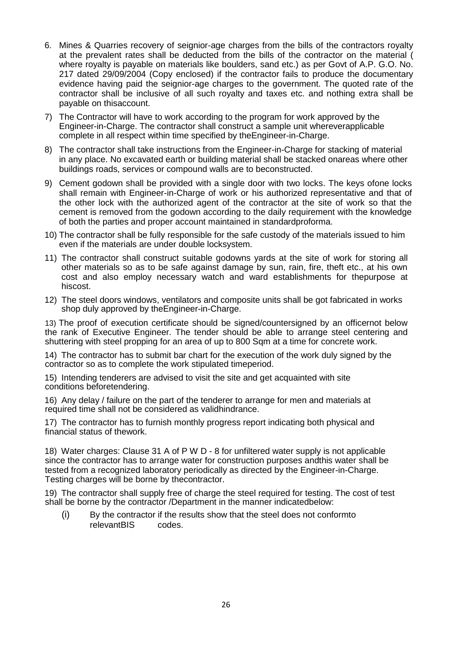- 6. Mines & Quarries recovery of seignior-age charges from the bills of the contractors royalty at the prevalent rates shall be deducted from the bills of the contractor on the material ( where royalty is payable on materials like boulders, sand etc.) as per Govt of A.P. G.O. No. 217 dated 29/09/2004 (Copy enclosed) if the contractor fails to produce the documentary evidence having paid the seignior-age charges to the government. The quoted rate of the contractor shall be inclusive of all such royalty and taxes etc. and nothing extra shall be payable on thisaccount.
- 7) The Contractor will have to work according to the program for work approved by the Engineer-in-Charge. The contractor shall construct a sample unit whereverapplicable complete in all respect within time specified by theEngineer-in-Charge.
- 8) The contractor shall take instructions from the Engineer-in-Charge for stacking of material in any place. No excavated earth or building material shall be stacked onareas where other buildings roads, services or compound walls are to beconstructed.
- 9) Cement godown shall be provided with a single door with two locks. The keys ofone locks shall remain with Engineer-in-Charge of work or his authorized representative and that of the other lock with the authorized agent of the contractor at the site of work so that the cement is removed from the godown according to the daily requirement with the knowledge of both the parties and proper account maintained in standardproforma.
- 10) The contractor shall be fully responsible for the safe custody of the materials issued to him even if the materials are under double locksystem.
- 11) The contractor shall construct suitable godowns yards at the site of work for storing all other materials so as to be safe against damage by sun, rain, fire, theft etc., at his own cost and also employ necessary watch and ward establishments for thepurpose at hiscost.
- 12) The steel doors windows, ventilators and composite units shall be got fabricated in works shop duly approved by theEngineer-in-Charge.

13) The proof of execution certificate should be signed/countersigned by an officernot below the rank of Executive Engineer. The tender should be able to arrange steel centering and shuttering with steel propping for an area of up to 800 Sqm at a time for concrete work.

14) The contractor has to submit bar chart for the execution of the work duly signed by the contractor so as to complete the work stipulated timeperiod.

15) Intending tenderers are advised to visit the site and get acquainted with site conditions beforetendering.

16) Any delay / failure on the part of the tenderer to arrange for men and materials at required time shall not be considered as validhindrance.

17) The contractor has to furnish monthly progress report indicating both physical and financial status of thework.

18) Water charges: Clause 31 A of P W D - 8 for unfiltered water supply is not applicable since the contractor has to arrange water for construction purposes andthis water shall be tested from a recognized laboratory periodically as directed by the Engineer-in-Charge. Testing charges will be borne by thecontractor.

19) The contractor shall supply free of charge the steel required for testing. The cost of test shall be borne by the contractor /Department in the manner indicatedbelow:

(i) By the contractor if the results show that the steel does not conformto relevantBIS codes.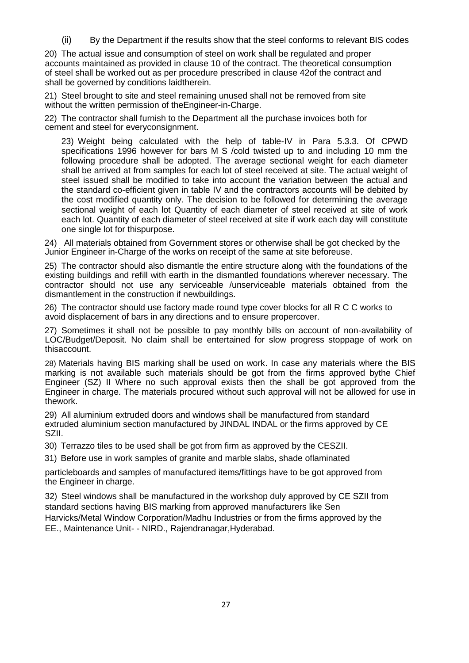(ii) By the Department if the results show that the steel conforms to relevant BIS codes

20) The actual issue and consumption of steel on work shall be regulated and proper accounts maintained as provided in clause 10 of the contract. The theoretical consumption of steel shall be worked out as per procedure prescribed in clause 42of the contract and shall be governed by conditions laidtherein.

21) Steel brought to site and steel remaining unused shall not be removed from site without the written permission of theEngineer-in-Charge.

22) The contractor shall furnish to the Department all the purchase invoices both for cement and steel for everyconsignment.

23) Weight being calculated with the help of table-IV in Para 5.3.3. Of CPWD specifications 1996 however for bars M S /cold twisted up to and including 10 mm the following procedure shall be adopted. The average sectional weight for each diameter shall be arrived at from samples for each lot of steel received at site. The actual weight of steel issued shall be modified to take into account the variation between the actual and the standard co-efficient given in table IV and the contractors accounts will be debited by the cost modified quantity only. The decision to be followed for determining the average sectional weight of each lot Quantity of each diameter of steel received at site of work each lot. Quantity of each diameter of steel received at site if work each day will constitute one single lot for thispurpose.

24) All materials obtained from Government stores or otherwise shall be got checked by the Junior Engineer in-Charge of the works on receipt of the same at site beforeuse.

25) The contractor should also dismantle the entire structure along with the foundations of the existing buildings and refill with earth in the dismantled foundations wherever necessary. The contractor should not use any serviceable /unserviceable materials obtained from the dismantlement in the construction if newbuildings.

26) The contractor should use factory made round type cover blocks for all R C C works to avoid displacement of bars in any directions and to ensure propercover.

27) Sometimes it shall not be possible to pay monthly bills on account of non-availability of LOC/Budget/Deposit. No claim shall be entertained for slow progress stoppage of work on thisaccount.

28) Materials having BIS marking shall be used on work. In case any materials where the BIS marking is not available such materials should be got from the firms approved bythe Chief Engineer (SZ) II Where no such approval exists then the shall be got approved from the Engineer in charge. The materials procured without such approval will not be allowed for use in thework.

29) All aluminium extruded doors and windows shall be manufactured from standard extruded aluminium section manufactured by JINDAL INDAL or the firms approved by CE SZII.

30) Terrazzo tiles to be used shall be got from firm as approved by the CESZII.

31) Before use in work samples of granite and marble slabs, shade oflaminated

particleboards and samples of manufactured items/fittings have to be got approved from the Engineer in charge.

32) Steel windows shall be manufactured in the workshop duly approved by CE SZII from standard sections having BIS marking from approved manufacturers like Sen Harvicks/Metal Window Corporation/Madhu Industries or from the firms approved by the EE., Maintenance Unit- - NIRD., Rajendranagar,Hyderabad.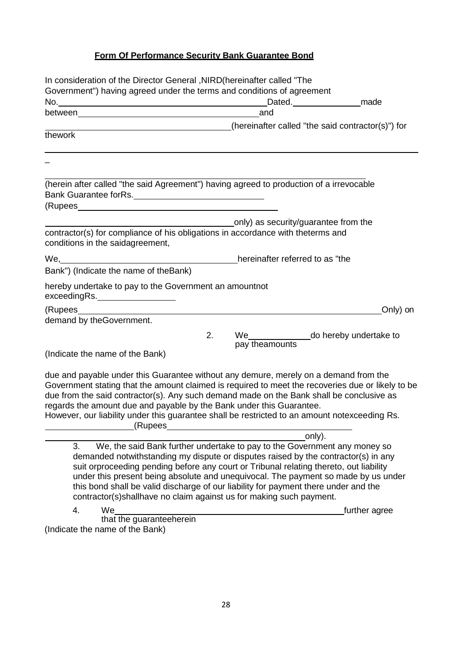# **Form Of Performance Security Bank Guarantee Bond**

| In consideration of the Director General , NIRD (hereinafter called "The                                                                                                                                                                                                                                                                                  |                                                                                                                                                                                                                                                                                                                                                 |
|-----------------------------------------------------------------------------------------------------------------------------------------------------------------------------------------------------------------------------------------------------------------------------------------------------------------------------------------------------------|-------------------------------------------------------------------------------------------------------------------------------------------------------------------------------------------------------------------------------------------------------------------------------------------------------------------------------------------------|
| Government") having agreed under the terms and conditions of agreement                                                                                                                                                                                                                                                                                    |                                                                                                                                                                                                                                                                                                                                                 |
|                                                                                                                                                                                                                                                                                                                                                           | Dated. <b>Cancel</b> made                                                                                                                                                                                                                                                                                                                       |
|                                                                                                                                                                                                                                                                                                                                                           | and                                                                                                                                                                                                                                                                                                                                             |
|                                                                                                                                                                                                                                                                                                                                                           | (hereinafter called "the said contractor(s)") for                                                                                                                                                                                                                                                                                               |
| thework                                                                                                                                                                                                                                                                                                                                                   |                                                                                                                                                                                                                                                                                                                                                 |
|                                                                                                                                                                                                                                                                                                                                                           |                                                                                                                                                                                                                                                                                                                                                 |
| (herein after called "the said Agreement") having agreed to production of a irrevocable<br>Bank Guarantee forRs.                                                                                                                                                                                                                                          |                                                                                                                                                                                                                                                                                                                                                 |
| (Rupees experience and a series of the series of the series of the series of the series of the series of the series of the series of the series of the series of the series of the series of the series of the series of the s                                                                                                                            |                                                                                                                                                                                                                                                                                                                                                 |
|                                                                                                                                                                                                                                                                                                                                                           | ___________________________only) as security/guarantee from the                                                                                                                                                                                                                                                                                 |
| contractor(s) for compliance of his obligations in accordance with theterms and<br>conditions in the saidagreement,                                                                                                                                                                                                                                       |                                                                                                                                                                                                                                                                                                                                                 |
| We, Messenbury of the Contract of the Contract of the U.S. and the Contract of the Contract of the Contract of the Contract of the Contract of the Contract of the Contract of the Contract of the Contract of the Contract of                                                                                                                            |                                                                                                                                                                                                                                                                                                                                                 |
| Bank") (Indicate the name of theBank)                                                                                                                                                                                                                                                                                                                     |                                                                                                                                                                                                                                                                                                                                                 |
| hereby undertake to pay to the Government an amountnot<br>exceedingRs.___________________                                                                                                                                                                                                                                                                 |                                                                                                                                                                                                                                                                                                                                                 |
|                                                                                                                                                                                                                                                                                                                                                           | Only) on                                                                                                                                                                                                                                                                                                                                        |
| demand by theGovernment.                                                                                                                                                                                                                                                                                                                                  |                                                                                                                                                                                                                                                                                                                                                 |
| 2.                                                                                                                                                                                                                                                                                                                                                        | We__________________do hereby undertake to<br>pay theamounts                                                                                                                                                                                                                                                                                    |
| (Indicate the name of the Bank)                                                                                                                                                                                                                                                                                                                           |                                                                                                                                                                                                                                                                                                                                                 |
| due and payable under this Guarantee without any demure, merely on a demand from the<br>due from the said contractor(s). Any such demand made on the Bank shall be conclusive as<br>regards the amount due and payable by the Bank under this Guarantee.<br>However, our liability under this guarantee shall be restricted to an amount notexceeding Rs. | Government stating that the amount claimed is required to meet the recoveries due or likely to be                                                                                                                                                                                                                                               |
|                                                                                                                                                                                                                                                                                                                                                           | only).                                                                                                                                                                                                                                                                                                                                          |
| 3.<br>this bond shall be valid discharge of our liability for payment there under and the<br>contractor(s)shallhave no claim against us for making such payment.                                                                                                                                                                                          | We, the said Bank further undertake to pay to the Government any money so<br>demanded notwithstanding my dispute or disputes raised by the contractor(s) in any<br>suit orproceeding pending before any court or Tribunal relating thereto, out liability<br>under this present being absolute and unequivocal. The payment so made by us under |
| 4.<br>We                                                                                                                                                                                                                                                                                                                                                  | further agree                                                                                                                                                                                                                                                                                                                                   |
| that the guaranteeherein<br>(Indicate the name of the Bank)                                                                                                                                                                                                                                                                                               |                                                                                                                                                                                                                                                                                                                                                 |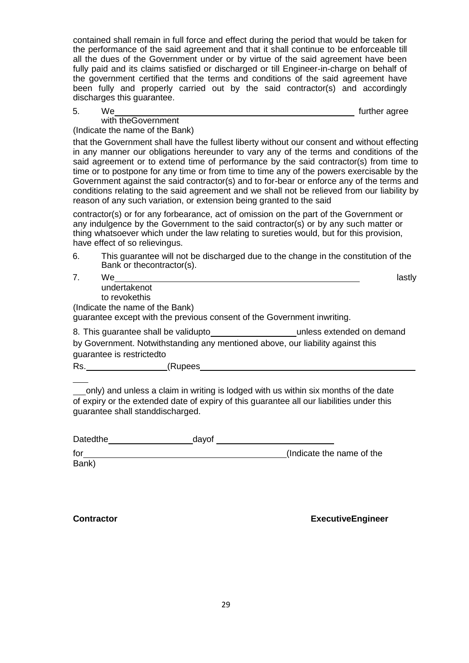contained shall remain in full force and effect during the period that would be taken for the performance of the said agreement and that it shall continue to be enforceable till all the dues of the Government under or by virtue of the said agreement have been fully paid and its claims satisfied or discharged or till Engineer-in-charge on behalf of the government certified that the terms and conditions of the said agreement have been fully and properly carried out by the said contractor(s) and accordingly discharges this guarantee.

further agree

#### with theGovernment (Indicate the name of the Bank)

5. We

that the Government shall have the fullest liberty without our consent and without effecting in any manner our obligations hereunder to vary any of the terms and conditions of the said agreement or to extend time of performance by the said contractor(s) from time to time or to postpone for any time or from time to time any of the powers exercisable by the Government against the said contractor(s) and to for-bear or enforce any of the terms and conditions relating to the said agreement and we shall not be relieved from our liability by reason of any such variation, or extension being granted to the said

contractor(s) or for any forbearance, act of omission on the part of the Government or any indulgence by the Government to the said contractor(s) or by any such matter or thing whatsoever which under the law relating to sureties would, but for this provision, have effect of so relievingus.

6. This guarantee will not be discharged due to the change in the constitution of the Bank or thecontractor(s).

| 7. | We                                                                                                         | lastly |
|----|------------------------------------------------------------------------------------------------------------|--------|
|    | undertakenot                                                                                               |        |
|    | to revokethis                                                                                              |        |
|    | (Indicate the name of the Bank)<br>guarantee except with the previous consent of the Government inwriting. |        |
|    | 8. This guarantee shall be validupto<br>unless extended on demand                                          |        |
|    | by Government. Notwithstanding any mentioned above, our liability against this                             |        |
|    | guarantee is restrictedto                                                                                  |        |
|    |                                                                                                            |        |

Rs. (Rupees

only) and unless a claim in writing is lodged with us within six months of the date of expiry or the extended date of expiry of this guarantee all our liabilities under this guarantee shall standdischarged.

| Datedthe | davof |                           |
|----------|-------|---------------------------|
| for      |       | (Indicate the name of the |
| Bank)    |       |                           |

**Contractor ExecutiveEngineer**